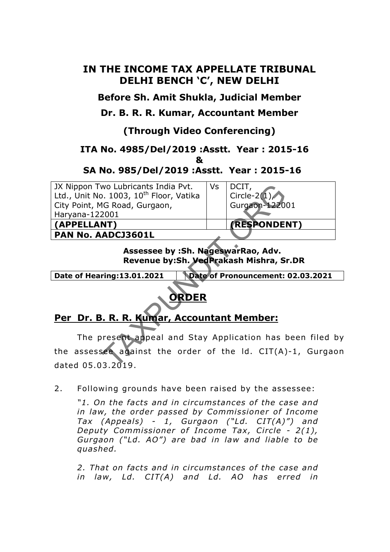### **IN THE INCOME TAX APPELLATE TRIBUNAL DELHI BENCH 'C', NEW DELHI**

**Before Sh. Amit Shukla, Judicial Member** 

**Dr. B. R. R. Kumar, Accountant Member** 

## **(Through Video Conferencing)**

## **ITA No. 4985/Del/2019 :Asstt. Year : 2015-16**

**&** 

### **SA No. 985/Del/2019 :Asstt. Year : 2015-16**

JX Nippon Two Lubricants India Pvt. Ltd., Unit No. 1003, 10<sup>th</sup> Floor, Vatika City Point, MG Road, Gurgaon, Haryana-122001 **(APPELLANT) (RESPONDENT)**

**PAN No. AADCJ3601L** 

 $Vs$  DCIT. Circle-2( $1)$ Gurgaon-122001

**Assessee by :Sh. NageswarRao, Adv. Revenue by:Sh. VedPrakash Mishra, Sr.DR**

**Date of Hearing:13.01.2021 Date of Pronouncement: 02.03.2021**

# **ORDER**

# **Per Dr. B. R. R. Kumar, Accountant Member:**

 The present appeal and Stay Application has been filed by the assessee against the order of the Id. CIT(A)-1, Gurgaon dated 05.03 .2019 . No Lubricants India Pvt.<br>
1. 1003, 10<sup>th</sup> Floor, Vatika<br>
IG Road, Gurgaon,<br>
2001<br> **ADCJ3601L**<br> **Assessee by :Sh. NageswarRao, Adv.**<br>
Revenue by:Sh. VedPrakash Mishra, Si<br>
ring:13.01.2021 | Date of Pronouncement:<br> **ORDER**<br>

2. Following grounds have been raised by the assessee:

*"1. On the facts and in circumstances of the case and in law, the order passed by Commissioner of Income Tax (Appeals) - 1, Gurgaon ("Ld. CIT(A)") and Deputy Commissioner of Income Tax, Circle - 2(1), Gurgaon ("Ld. AO") are bad in law and liable to be quashed.* 

2. That on facts and in circumstances of the case and *in law, Ld. CIT(A) and Ld. AO has erred in*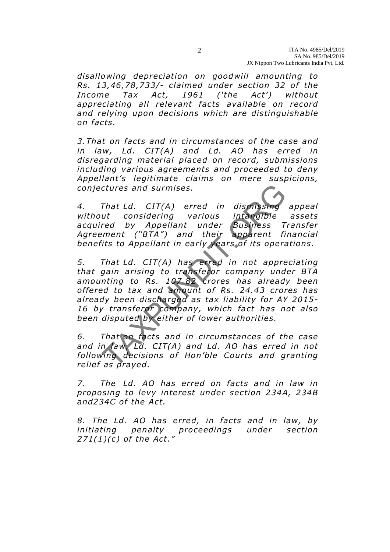*disallowing depreciation on goodwill amounting to Rs. 13,46 ,78,733/- claimed under section 32 o f the Income Tax Act, 1961 ('the Act') without appreciating all relevant facts available on record and relying upon decisions which are distinguishable on facts.* 

*3.That on facts and in circumstances of the case and in law, Ld. CIT(A) and Ld. AO has erred in disregarding material placed on record, submissions including various agreements and proceeded to deny Appellant's legitimate claims on mere suspicions, con jectures and surmises .* 

*4. That Ld. CIT(A) erred in dismissing appeal without considering various intangible assets acquired by Appellant under Business Transfer Agreement ("BTA") and their apparent financial bene fits to Appellant in early years of its operations.* 

5. That Ld. CIT(A) has erred in not appreciating *that gain arising to transferor company under BTA amounting to Rs. 107 82 crores has already been*  offered to tax and amount of Rs. 24.43 crores has *already been discharged as tax liability for AY 2015- 16 by transferor company, which fact has not also been disputed by either of lower authorities.*  ctures and surmises.<br>
That Ld. CIT(A) erred in dismissing<br>
ut considering various intangible<br>
red by Appellant under Business T<br>
ment ("BTA") and their apparent fi<br>
its to Appellant in early years of its opera<br>
That Ld. CI

*6. That on facts and in circumstances of the case and in law, Ld. CIT(A) and Ld. AO has erred in not*  following decisions of Hon'ble Courts and granting *relief as prayed.* 

*7. The Ld. AO has erred on facts and in law in proposing to levy interest under section 234A, 234B*  and234C of the Act.

*8. The Ld. AO has erred, in facts and in law, by initiating penalty proceedings under section 271(1)(c) of the Act."*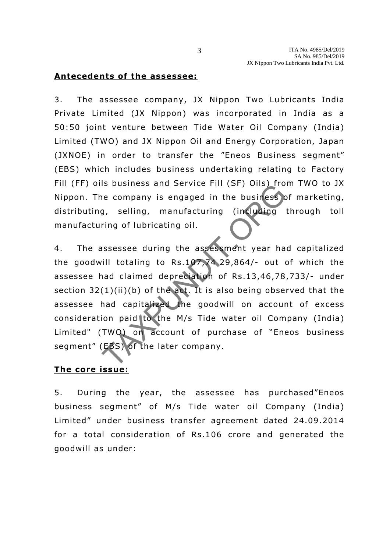#### **Antecedents of the assessee:**

3. The assessee company, JX Nippon Two Lubricants India Private Limited (JX Nippon) was incorporated in India as a 50:50 joint venture between Tide Water Oil Company (India) Limited (TWO) and JX Nippon Oil and Energy Corporation, Japan (JXNOE) in order to transfer the "Eneos Business segment" (EBS) which includes business undertaking relating to Factory Fill (FF) oils business and Service Fill (SF) Oils) from TWO to JX Nippon. The company is engaged in the business of marketing, distributing, selling, manufacturing (including through toll manufacturing of lubricating oil .

4. The assessee during the assessment year had capitalized the goodwill totaling to Rs .107,74 29,864/- out of which the assessee had claimed depreciation of Rs .13,46 ,78 ,733/- under section  $32(1)(ii)(b)$  of the act. It is also being observed that the assessee had capitalized the goodwill on account of excess consideration paid to the M/s Tide water oil Company (India) Limited" (TWO) on account of purchase of "Eneos business segment" (EBS) of the later company. In the business and service Fin (SF) Ons) from<br>the company is engaged in the business company is engaged in the business<br>ring of lubricating oil.<br>Since the assessment year half to taking to Rs.107,74,29,864/- out of<br>and cl

#### **The core issue:**

5. During the year, the assessee has purchased"Eneos business segment" of M/s Tide water oil Company (India) Limited" under business transfer agreement dated 24.09.2014 for a total consideration of Rs.106 crore and generated the goodwill as under: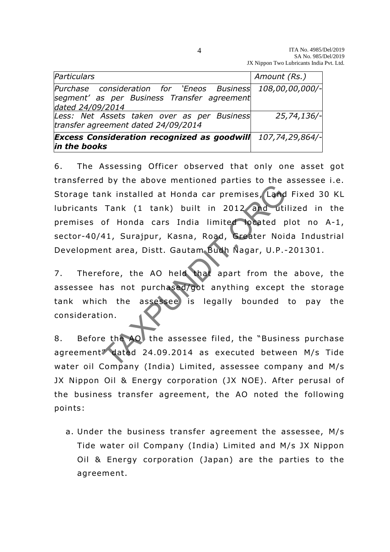| <b>Excess Consideration recognized as goodwill</b> $107,74,29,864/-$<br>in the books |                 |
|--------------------------------------------------------------------------------------|-----------------|
| Less: Net Assets taken over as per Business<br>transfer agreement dated 24/09/2014   | $25,74,136/-$   |
| segment' as per Business Transfer agreement<br>dated 24/09/2014                      |                 |
| Purchase consideration for 'Eneos Business                                           | 108,00,00,000/- |
| Particulars                                                                          | Amount (Rs.)    |

6. The Assessing Officer observed that only one asset got transferred by the above mentioned parties to the assessee i .e. Storage tank installed at Honda car premises, Land Fixed 30 KL lubricants Tank (1 tank) built in 2012 and utilized in the premises of Honda cars India limited located plot no A-1, sector-40/41, Surajpur, Kasna, Road, Greater Noida Industrial Development area, Distt. Gautam Budh Nagar, U.P.-201301. Ink installed at Honda car premises, Land<br>Tank (1 tank) built in 2012 and uti<br>of Honda cars India limited located p<br>41, Surajpur, Kasna, Road, Greater Noint<br>area, Distt. Gautam Budh Nagar, U.P.-<br>fore, the AO held that apar

7. Therefore, the AO held that apart from the above, the assessee has not purchased/got anything except the storage tank which the assessee is legally bounded to pay the consideration.

8. Before the AO the assessee filed, the "Business purchase agreement" dated 24 .09.2014 as executed between M/s Tide water oil Company (India) Limited, assessee company and M/s JX Nippon Oil & Energy corporation (JX NOE). After perusal of the business transfer agreement, the AO noted the following points:

a. Under the business transfer agreement the assessee, M/s Tide water oil Company (India) Limited and M/s JX Nippon Oil & Energy corporation (Japan) are the parties to the agreement.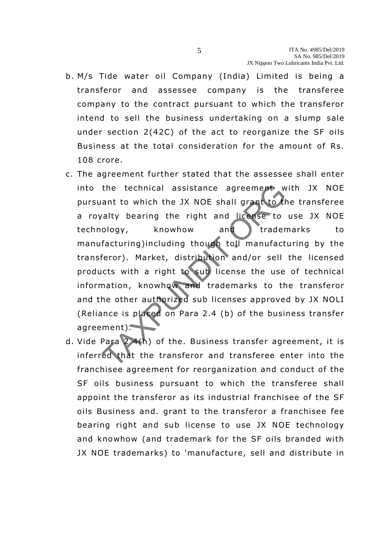- b. M/s Tide water oil Company (India) Limited is being a transferor and assessee company is the transferee company to the contract pursuant to which the transferor intend to sell the business undertaking on a slump sale under section 2(42C) of the act to reorganize the SF oils Business at the total consideration for the amount of Rs. 108 crore.
- c. The agreement further stated that the assessee shall enter into the technical assistance agreement with JX NOE pursuant to which the JX NOE shall grant to the transferee a royalty bearing the right and license to use JX NOE technology, knowhow and trademarks to manufacturing)including though toll manufacturing by the transferor). Market, distribution and/or sell the licensed products with a right to sub license the use of technical information, knowhow and trademarks to the transferor and the other authorized sub licenses approved by JX NOLI (Reliance is placed on Para 2.4 (b) of the business transfer agreement). the technical assistance agreement w<br>ant to which the JX NOE shall grant to the<br>ralty bearing the right and license to<br>ology, knowhow and trader<br>facturing)including though toll manufact<br>feror). Market, distribution and/or
- d. Vide Para 2 4(h) of the. Business transfer agreement, it is inferred that the transferor and transferee enter into the franchisee agreement for reorganization and conduct of the SF oils business pursuant to which the transferee shall appoint the transferor as its industrial franchisee of the SF oils Business and. grant to the transferor a franchisee fee bearing right and sub license to use JX NOE technology and knowhow (and trademark for the SF oils branded with JX NOE trademarks) to 'manufacture, sell and distribute in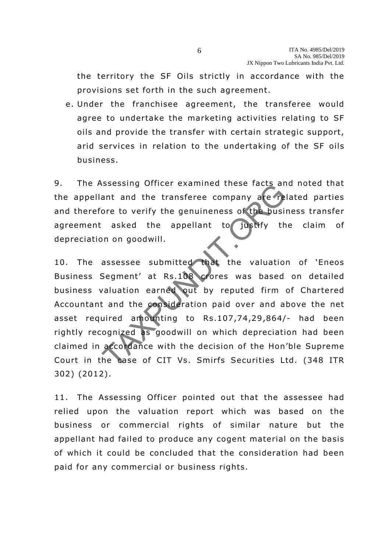the territory the SF Oils strictly in accordance with the provisions set forth in the such agreement.

e. Under the franchisee agreement, the transferee would agree to undertake the marketing activities relating to SF oils and provide the transfer with certain strategic support, arid services in relation to the undertaking of the SF oils business .

9. The Assessing Officer examined these facts and noted that the appellant and the transferee company are related parties and therefore to verify the genuineness of the business transfer agreement asked the appellant to justify the claim of depreciation on goodwill.

10. The assessee submitted that the valuation of 'Eneos Business Segment' at Rs.108 crores was based on detailed business valuation earned out by reputed firm of Chartered Accountant and the consideration paid over and above the net asset required amounting to Rs.107 ,74,29 ,864/- had been rightly recognized as goodwill on which depreciation had been claimed in accordance with the decision of the Hon'ble Supreme Court in the case of CIT Vs. Smirfs Securities Ltd. (348 ITR 302) (2012). Subsetsing officer examined these racts and<br>ore to verify the genuineness of the business<br>asked the appellant to justify the<br>non goodwill.<br>assessee submitted that the valuation<br>Segment' at Rs.108 crores was based<br>valuation

11. The Assessing Officer pointed out that the assessee had relied upon the valuation report which was based on the business or commercial rights of similar nature but the appellant had failed to produce any cogent material on the basis of which it could be concluded that the consideration had been paid for any commercial or business rights.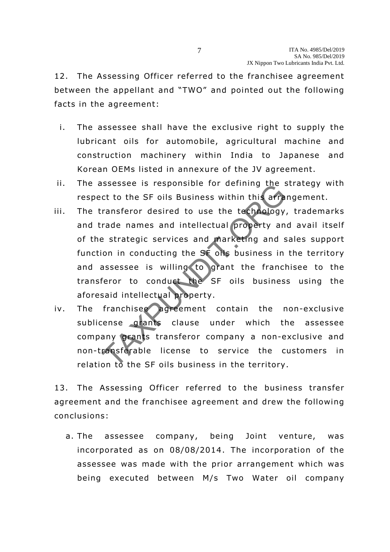12. The Assessing Officer referred to the franchisee agreement between the appellant and "TWO" and pointed out the following facts in the agreement:

- i. The assessee shall have the exclusive right to supply the lubricant oils for automobile, agricultural machine and construction machinery within India to Japanese and Korean OEMs listed in annexure of the JV agreement.
- ii. The assessee is responsible for defining the strategy with respect to the SF oils Business within this arrangement.
- iii. The transferor desired to use the technology, trademarks and trade names and intellectual property and avail itself of the strategic services and marketing and sales support function in conducting the SF oils business in the territory and assessee is willing to grant the franchisee to the transferor to conduct the SF oils business using the aforesaid intellectual property. Subsequent is responsible for defining the set to the SF oils Business within this arra<br>ransferor desired to use the technology,<br>rade names and intellectual property an<br>e strategic services and marketing and s<br>on in conduc
- iv. The franchisee agreement contain the non-exclusive sublicense grants clause under which the assessee company grants transferor company a non-exclusive and non-transferable license to service the customers in relation to the SF oils business in the territory.

13. The Assessing Officer referred to the business transfer agreement and the franchisee agreement and drew the following conclusions:

a. The assessee company, being Joint venture, was incorporated as on 08/08/2014 . The incorporation of the assessee was made with the prior arrangement which was being executed between M/s Two Water oil company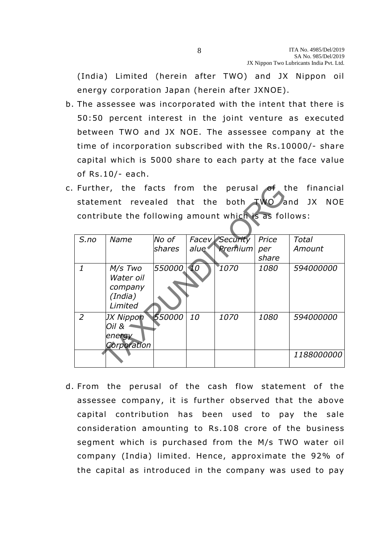(India) Limited (herein a fter TWO) and JX Nippon oil energy corporation Japan (herein after JXNOE).

- b. The assessee was incorporated with the intent that there is 50:50 percent interest in the joint venture as executed between TWO and JX NOE. The assessee company at the time of incorporation subscribed with the Rs.10000/- share capital which is 5000 share to each party at the face value of Rs.10/- each.
- c. Further, the facts from the perusal of the financial statement revealed that the both TWO and JX NOE contribute the following amount which is as follows:

| Further,                                             |                                                       |               |                 |                       |       | the facts from the perusal of the financial |  |  |
|------------------------------------------------------|-------------------------------------------------------|---------------|-----------------|-----------------------|-------|---------------------------------------------|--|--|
| TWO and JX NOE<br>statement revealed that the both   |                                                       |               |                 |                       |       |                                             |  |  |
| contribute the following amount which is as follows: |                                                       |               |                 |                       |       |                                             |  |  |
| $S$ .no                                              | Name                                                  | No of         |                 | <b>Facey Security</b> | Price | Total                                       |  |  |
|                                                      |                                                       | <i>shares</i> | alue            | Premium               | per   | Amount                                      |  |  |
|                                                      |                                                       |               |                 |                       | share |                                             |  |  |
| $\mathbf{1}$                                         | M/s Two<br>Water oil<br>company<br>(India)<br>Limited | 550000        | $\overline{1}0$ | 1070                  | 1080  | 594000000                                   |  |  |
| $\overline{2}$                                       | JX Nippon<br>Oil &<br>energy<br>Corporation           | 550000        | 10              | 1070                  | 1080  | 594000000                                   |  |  |
|                                                      |                                                       |               |                 |                       |       | <i>1188000000</i>                           |  |  |

d. From the perusal of the cash flow statement of the assessee company, it is further observed that the above capital contribution has been used to pay the sale consideration amounting to Rs.108 crore of the business segment which is purchased from the M/s TWO water oil company (India) limited. Hence, approximate the 92% of the capital as introduced in the company was used to pay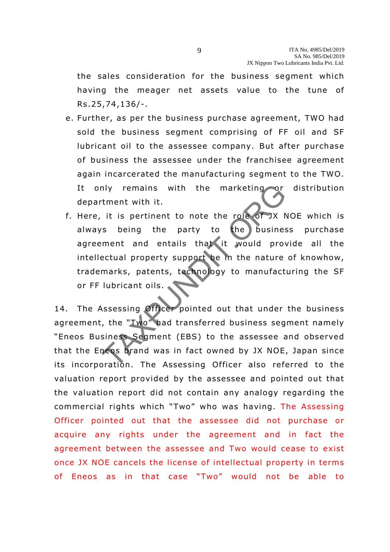the sales consideration for the business segment which having the meager net assets value to the tune of Rs.25 ,74,136/- .

- e. Further, as per the business purchase agreement, TWO had sold the business segment comprising of FF oil and SF lubricant oil to the assessee company. But after purchase of business the assessee under the franchisee agreement again incarcerated the manufacturing segment to the TWO. It only remains with the marketing or distribution department with it.
- f. Here, it is pertinent to note the role of JX NOE which is always being the party to the business purchase agreement and entails that it would provide all the intellectual property support be in the nature of knowhow, trademarks, patents, technology to manufacturing the SF or FF lubricant oils. nly remains with the marketing or<br>
tment with it.<br>
it is pertinent to note the role of JX N<br>
s being the party to the busines<br>
ment and entails that it would prove<br>
ectual property support be in the nature<br>
marks, patents,

14. The Assessing Officer pointed out that under the business agreement, the "Iwo" had transferred business segment namely "Eneos Business Segment (EBS) to the assessee and observed that the Eneos brand was in fact owned by JX NOE, Japan since its incorporation. The Assessing Officer also referred to the valuation report provided by the assessee and pointed out that the valuation report did not contain any analogy regarding the commercial rights which "Two" who was having. The Assessing Officer pointed out that the assessee did not purchase or acquire any rights under the agreement and in fact the agreement between the assessee and Two would cease to exist once JX NOE cancels the license of intellectual property in terms of Eneos as in that case "Two" would not be able to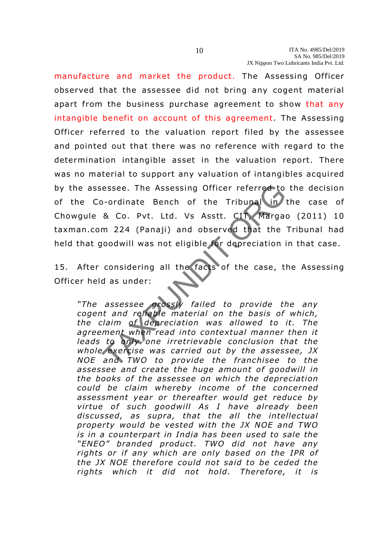manufacture and market the product. The Assessing Officer observed that the assessee did not bring any cogent material apart from the business purchase agreement to show that any intangible benefit on account of this agreement. The Assessing Officer referred to the valuation report filed by the assessee and pointed out that there was no reference with regard to the determination intangible asset in the valuation report. There was no material to support any valuation of intangibles acquired by the assessee. The Assessing Officer referred to the decision of the Co-ordinate Bench of the Tribunal in the case of Chowgule & Co. Pvt. Ltd. Vs Asstt. CIT, Margao (2011) 10 taxman.com 224 (Panaji) and observed that the Tribunal had held that goodwill was not eligible for depreciation in that case .

15. After considering all the facts of the case, the Assessing Officer held as under:

*"The assessee grossly failed to provide the any cogent and reliable material on the basis of which, the claim of depreciation was allowed to it. The agreement when read into contextual manner then it leads to only one irretrievable conclusion that the whole exercise was carried out by the assessee, JX NOE and TWO to provide the franchisee to the assessee and create the huge amount of goodwill in the books of the assessee on which the depreciation* could be claim whereby income of the concerned *assessment year or thereafter would get reduce by virtue of such goodwill As I have already been discussed, as supra, that the all the intellectual property would be vested with the JX NOE and TWO is in a counterpart in India has been used to sale the "ENEO" branded product. TWO did not have any rights or if any which are only based on the IPR of*  the JX NOE therefore could not said to be ceded the rights which it did not hold. Therefore, it is TAXPUNDIT.ORG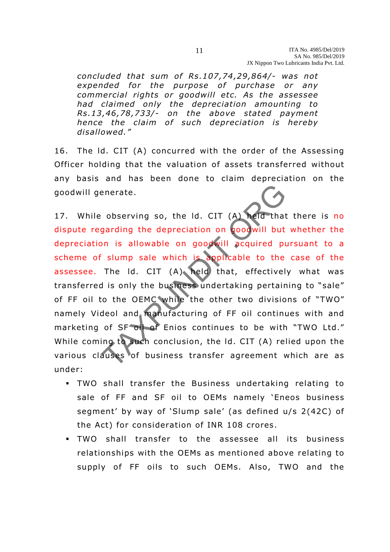*concluded that sum of Rs .107,74 ,29,864/- was not expended for the purpose of purchase or any commercial rights or goodwill etc. As the assessee had claimed only the depreciation amounting to Rs.13 ,46,78 ,733/- on the above stated payment hence the claim of such depreciation is hereby disallowed."* 

16. The ld. CIT (A) concurred with the order of the Assessing Officer holding that the valuation of assets transferred without any basis and has been done to claim depreciation on the goodwill generate .

17. While observing so, the Id. CIT (A) held that there is no dispute regarding the depreciation on goodwill but whether the depreciation is allowable on goodwill acquired pursuant to a scheme of slump sale which is applicable to the case of the assessee. The Id. CIT (A) held that, effectively what was transferred is only the business undertaking pertaining to "sale" of FF oil to the OEMC while the other two divisions of "TWO" namely Videol and manufacturing of FF oil continues with and marketing of SF oil of Enios continues to be with "TWO Ltd." While coming to such conclusion, the Id. CIT (A) relied upon the various clauses of business transfer agreement which are as under: enerate.<br>
Subserving so, the Id. CIT (A) held that<br>
garding the depreciation on goodwill but<br>
on is allowable on goodwill acquired pust<br>
slump sale which is applicable to the<br>
The Id. CIT (A) held that, effectivel<br>
dis onl

- . TWO shall transfer the Business undertaking relating to sale of FF and SF oil to OEMs namely 'Eneos business segment' by way of 'Slump sale' (as defined u/s 2(42C) of the Act) for consideration of INR 108 crores .
- TWO shall transfer to the assessee all its business relationships with the OEMs as mentioned above relating to supply of FF oils to such OEMs. Also, TWO and the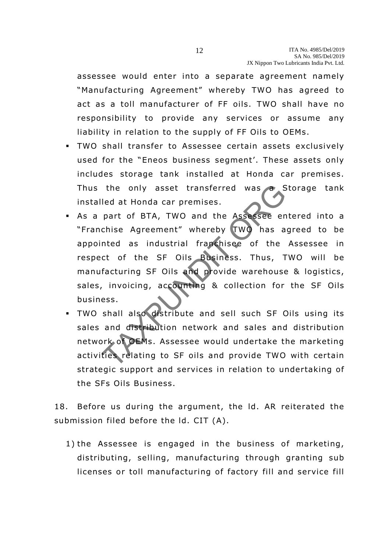assessee would enter into a separate agreement namely "Manufacturing Agreement" whereby TWO has agreed to act as a toll manufacturer of FF oils. TWO shall have no responsibility to provide any services or assume any liability in relation to the supply of FF Oils to OEMs.

- TWO shall transfer to Assessee certain assets exclusively used for the "Eneos business segment'. These assets only includes storage tank installed at Honda car premises. Thus the only asset transferred was a Storage tank installed at Honda car premises .
- As a part of BTA, TWO and the Assessee entered into a "Franchise Agreement" whereby TWO has agreed to be appointed as industrial franchisee of the Assessee in respect of the SF Oils Business. Thus, TWO will be manufacturing SF Oils and provide warehouse & logistics, sales, invoicing, accounting & collection for the SF Oils business . the only asset transferred was<br>
led at Honda car premises.<br>
part of BTA, TWO and the Assessee en<br>
chise Agreement" whereby TWO has a<br>
nted as industrial franchisee of the<br>
ct of the SF Oils Business. Thus, T<br>
facturing SF
- TWO shall also distribute and sell such SF Oils using its sales and distribution network and sales and distribution network of OEMs. Assessee would undertake the marketing activities relating to SF oils and provide TWO with certain strategic support and services in relation to undertaking of the SFs Oils Business.

18. Before us during the argument, the ld. AR reiterated the submission filed before the ld. CIT (A).

1) the Assessee is engaged in the business of marketing, distributing, selling, manufacturing through granting sub licenses or toll manufacturing of factory fill and service fill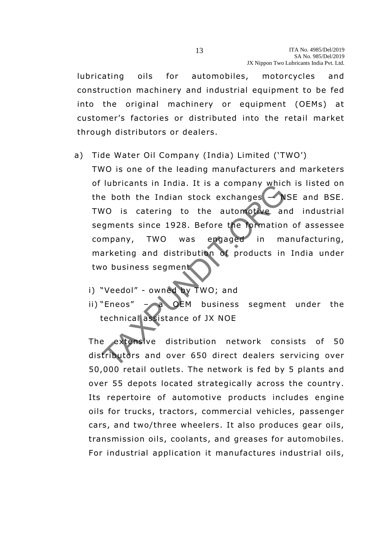lubricating oils for automobiles, motorcycles and construction machinery and industrial equipment to be fed into the original machinery or equipment (OEMs) at customer's factories or distributed into the retail market through distributors or dealers.

#### a) Tide Water Oil Company (India) Limited ('TWO')

TWO is one of the leading manufacturers and marketers of lubricants in India. It is a company which is listed on the both the Indian stock exchanges — NSE and BSE. TWO is catering to the automotive and industrial segments since 1928. Before the formation of assessee company, TWO was engaged in manufacturing, marketing and distribution of products in India under two business segment The both the Indian stock exchanges<br>
WO is catering to the automotive are<br>
gments since 1928. Before the formation<br>
mpany, TWO was engaged in ma<br>
arketing and distribution of products in<br>
the business segment<br>
"Veedol" - o

- i) "Veedol" owned by TWO; and
- ii) "Eneos" a OEM business segment under the technical assistance of JX NOE

The extensive distribution network consists of 50 distributors and over 650 direct dealers servicing over 50,000 retail outlets. The network is fed by 5 plants and over 55 depots located strategically across the country. Its repertoire of automotive products includes engine oils for trucks, tractors, commercial vehicles, passenger cars, and two/three wheelers. It also produces gear oils, transmission oils, coolants, and greases for automobiles. For industrial application it manufactures industrial oils,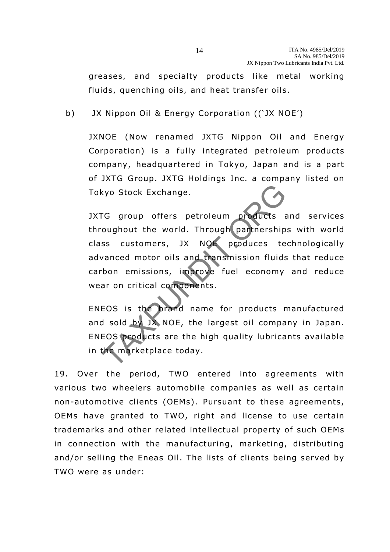greases, and specialty products like metal working fluids, quenching oils, and heat transfer oils.

b) JX Nippon Oil & Energy Corporation (('JX NOE')

JXNOE (Now renamed JXTG Nippon Oil and Energy Corporation) is a fully integrated petroleum products company, headquartered in Tokyo, Japan and is a part of JXTG Group. JXTG Holdings Inc. a company listed on Tokyo Stock Exchange.

JXTG group offers petroleum products and services throughout the world. Through partnerships with world class customers, JX NOE produces technologically advanced motor oils and transmission fluids that reduce carbon emissions, improve fuel economy and reduce wear on critical components. Exchange.<br>
The group offers petroleum products a<br>
oughout the world. Through partnership<br>
ss customers, JX NOE produces te<br>
vanced motor oils and transmission fluids<br>
bon emissions, improve fuel economy<br>
ar on critical com

ENEOS is the brand name for products manufactured and sold by JX NOE, the largest oil company in Japan. ENEOS products are the high quality lubricants available in the marketplace today.

19. Over the period, TWO entered into agreements with various two wheelers automobile companies as well as certain non-automotive clients (OEMs). Pursuant to these agreements, OEMs have granted to TWO, right and license to use certain trademarks and other related intellectual property of such OEMs in connection with the manufacturing, marketing, distributing and/or selling the Eneas Oil. The lists of clients being served by TWO were as under: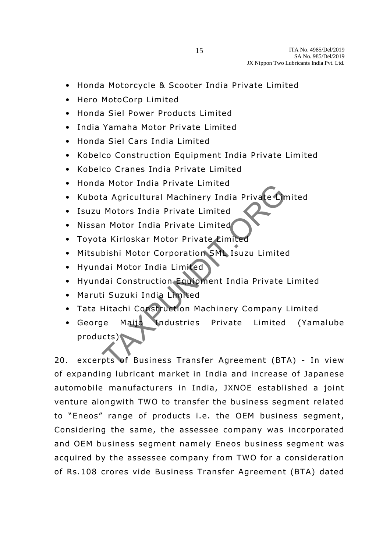- Honda Motorcycle & Scooter India Private Limited
- Hero MotoCorp Limited
- Honda Siel Power Products Limited
- India Yamaha Motor Private Limited
- Honda Siel Cars India Limited
- Kobelco Construction Equipment India Private Limited
- Kobelco Cranes India Private Limited
- Honda Motor India Private Limited
- Kubota Agricultural Machinery India Private Limited
- Isuzu Motors India Private Limited
- Nissan Motor India Private Limited
- Toyota Kirloskar Motor Private Limited
- Mitsubishi Motor Corporation SML Isuzu Limited
- Hyundai Motor India Limited
- Hyundai Construction Equipment India Private Limited
- Maruti Suzuki India Limited
- Tata Hitachi Construction Machinery Company Limited
- George Maijo Industries Private Limited (Yamalube products) The Agricultural Machinery India Private<br>
Motors India Private Limited<br>
In Motor India Private Limited<br>
a Kirloskar Motor Private Limited<br>
dai Motor India Limited<br>
dai Construction Equipment India Private<br>
i Suzuki India L

20. excerpts of Business Transfer Agreement (BTA) - In view of expanding lubricant market in India and increase of Japanese automobile manufacturers in India, JXNOE established a joint venture alongwith TWO to transfer the business segment related to "Eneos" range of products i.e. the OEM business segment, Considering the same, the assessee company was incorporated and OEM business segment namely Eneos business segment was acquired by the assessee company from TWO for a consideration of Rs.108 crores vide Business Transfer Agreement (BTA) dated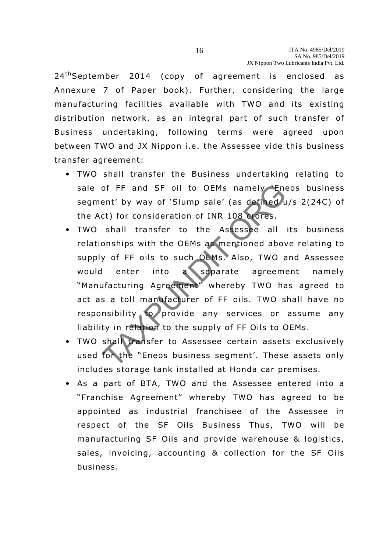$24<sup>th</sup>$ September 2014 (copy of agreement is enclosed as Annexure 7 of Paper book). Further, considering the large manufacturing facilities available with TWO and its existing distribution network, as an integral part of such transfer of Business undertaking, following terms were agreed upon between TWO and JX Nippon i.e. the Assessee vide this business transfer agreement:

- TWO shall transfer the Business undertaking relating to sale of FF and SF oil to OEMs namely Eneos business segment' by way of 'Slump sale' (as defined u/s 2(24C) of the Act) for consideration of INR 108 crores .
- TWO shall transfer to the Assessee all its business relationships with the OEMs as mentioned above relating to supply of FF oils to such OEMs. Also, TWO and Assessee would enter into a separate agreement namely "Manufacturing Agreement" whereby TWO has agreed to act as a toll manufacturer of FF oils. TWO shall have no responsibility to provide any services or assume any liability in relation to the supply of FF Oils to OEMs. of FF and SF oil to OEMs namely Ene<br>
ent' by way of 'Slump sale' (as defined u<br>
ct) for consideration of INR 108 croes.<br>
shall transfer to the Assessee all<br>
onships with the OEMs as mentioned abov<br>
y of FF oils to such OEM
- TWO shall transfer to Assessee certain assets exclusively used for the "Eneos business segment'. These assets only includes storage tank installed at Honda car premises.
- As a part of BTA, TWO and the Assessee entered into a "Franchise Agreement" whereby TWO has agreed to be appointed as industrial franchisee of the Assessee in respect of the SF Oils Business Thus, TWO will be manufacturing SF Oils and provide warehouse & logistics, sales, invoicing, accounting & collection for the SF Oils business .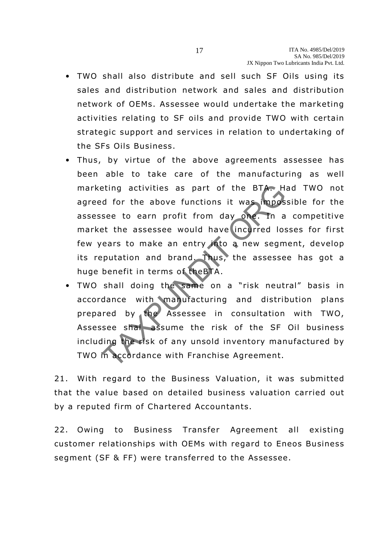- TWO shall also distribute and sell such SF Oils using its sales and distribution network and sales and distribution network of OEMs. Assessee would undertake the marketing activities relating to SF oils and provide TWO with certain strategic support and services in relation to undertaking of the SFs Oils Business.
- Thus, by virtue of the above agreements assessee has been able to take care of the manufacturing as well marketing activities as part of the BTA. Had TWO not agreed for the above functions it was impossible for the assessee to earn profit from day one. In a competitive market the assessee would have incurred losses for first few years to make an entry into a new segment, develop its reputation and brand. Thus, the assessee has got a huge benefit in terms of theBTA. example at the above functions it was imposed to earn profit from day one. In a<br>see to earn profit from day one. In a<br>extended have incurred lost<br>ears to make an entry into a new segm<br>putation and brand. Thus, the assesse<br>
- TWO shall doing the same on a "risk neutral" basis in accordance with manufacturing and distribution plans prepared by the Assessee in consultation with TWO, Assessee shal assume the risk of the SF Oil business including the risk of any unsold inventory manufactured by TWO in accordance with Franchise Agreement.

21. With regard to the Business Valuation, it was submitted that the value based on detailed business valuation carried out by a reputed firm of Chartered Accountants.

22. Owing to Business Transfer Agreement all existing customer relationships with OEMs with regard to Eneos Business segment (SF & FF) were transferred to the Assessee .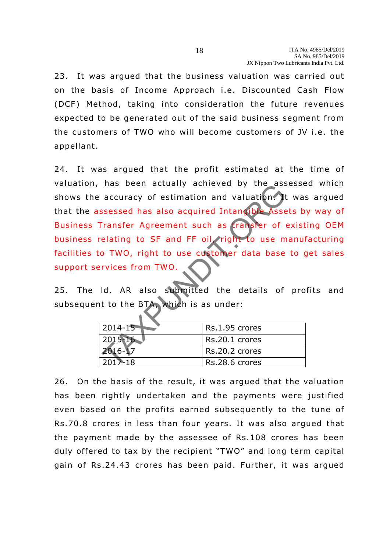23. It was argued that the business valuation was carried out on the basis of Income Approach i.e. Discounted Cash Flow (DCF) Method, taking into consideration the future revenues expected to be generated out of the said business segment from the customers of TWO who will become customers of JV i.e. the appellant.

24. It was argued that the profit estimated at the time of valuation, has been actually achieved by the assessed which shows the accuracy of estimation and valuation. It was argued that the assessed has also acquired Intangible Assets by way of Business Transfer Agreement such as transfer of existing OEM business relating to SF and FF oil, right to use manufacturing facilities to TWO, right to use customer data base to get sales support services from TWO. The Security actually define the distribution.<br>
Security of estimation and valuation.<br>
Security and security and the security of the security of the distribution<br>
TWO, right to use customer data base<br>
TWO, right to use cus

25. The Id. AR also submitted the details of profits and subsequent to the BTA, which is as under:

| $2014 - 15$            | Rs.1.95 crores |
|------------------------|----------------|
| 2015-16                | Rs.20.1 crores |
| 2016-17                | Rs.20.2 crores |
| $201\overline{2} - 18$ | Rs.28.6 crores |

26. On the basis of the result, it was argued that the valuation has been rightly undertaken and the payments were justified even based on the profits earned subsequently to the tune of Rs.70 .8 crores in less than four years. It was also argued that the payment made by the assessee of Rs.108 crores has been duly offered to tax by the recipient "TWO" and long term capital gain of Rs.24.43 crores has been paid. Further, it was argued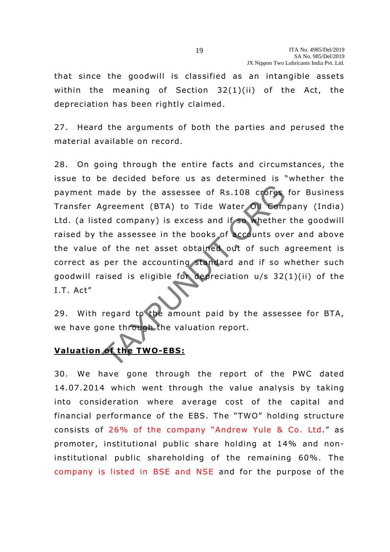that since the goodwill is classified as an intangible assets within the meaning of Section  $32(1)(ii)$  of the Act, the depreciation has been rightly claimed.

27. Heard the arguments of both the parties and perused the material available on record.

28. On going through the entire facts and circumstances, the issue to be decided before us as determined is "whether the payment made by the assessee of Rs.108 crores for Business Trans fer Agreement (BTA) to Tide Water Oil Company (India) Ltd. (a listed company) is excess and if so whether the goodwill raised by the assessee in the books of accounts over and above the value of the net asset obtained out of such agreement is correct as per the accounting standard and if so whether such goodwill raised is eligible for depreciation  $u/s$  32(1)(ii) of the I.T. Act" made by the assessee of Rs.108 crores<br>greement (BTA) to Tide Water OI Com<br>ed company) is excess and if so whether<br>the assessee in the books of accounts over<br>of the net asset obtained out of such a<br>per the accounting standa

29. With regard to the amount paid by the assessee for BTA, we have gone through the valuation report.

# **Valuation of the TWO-EBS:**

30. We have gone through the report of the PWC dated 14.07.2014 which went through the value analysis by taking into consideration where average cost of the capital and financial performance of the EBS. The "TWO" holding structure consists of 26% of the company "Andrew Yule & Co. Ltd." as promoter, institutional public share holding at 14% and noninstitutional public shareholding of the remaining 60%. The company is listed in BSE and NSE and for the purpose of the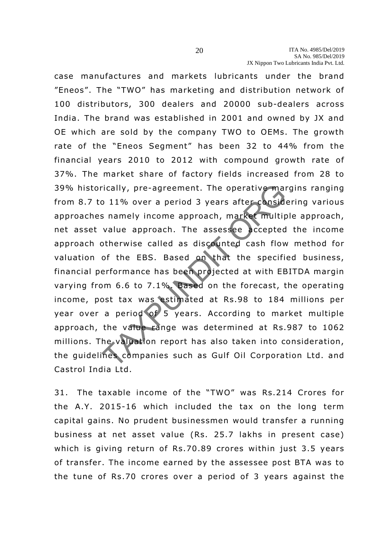case manufactures and markets lubricants under the brand "Eneos". The "TWO" has marketing and distribution network of 100 distributors, 300 dealers and 20000 sub-dealers across India. The brand was established in 2001 and owned by JX and OE which are sold by the company TWO to OEMs. The growth rate of the "Eneos Segment" has been 32 to 44% from the financial years 2010 to 2012 with compound growth rate of 37%. The market share of factory fields increased from 28 to 39% historically, pre-agreement. The operative margins ranging from 8.7 to 11% over a period 3 years after considering various approaches namely income approach, market multiple approach, net asset value approach. The assessee accepted the income approach otherwise called as discounted cash flow method for valuation of the EBS. Based on that the specified business, financial performance has been projected at with EBITDA margin varying from 6.6 to 7.1%. Based on the forecast, the operating income, post tax was estimated at Rs.98 to 184 millions per year over a period of 5 years. According to market multiple approach, the value range was determined at Rs.987 to 1062 millions. The valuation report has also taken into consideration, the guidelines companies such as Gulf Oil Corporation Ltd. and Castrol India Ltd. rically, pre-agreement. The operative manuple of 11% over a period 3 years after considerations in a metally income approach, market multip value approach. The assessee accepted otherwise called as discounted cash flow of

31. The taxable income of the "TWO" was Rs.214 Crores for the A.Y. 2015-16 which included the tax on the long term capital gains. No prudent businessmen would transfer a running business at net asset value (Rs. 25.7 lakhs in present case) which is giving return of Rs.70.89 crores within just 3.5 years of transfer. The income earned by the assessee post BTA was to the tune of Rs.70 crores over a period of 3 years against the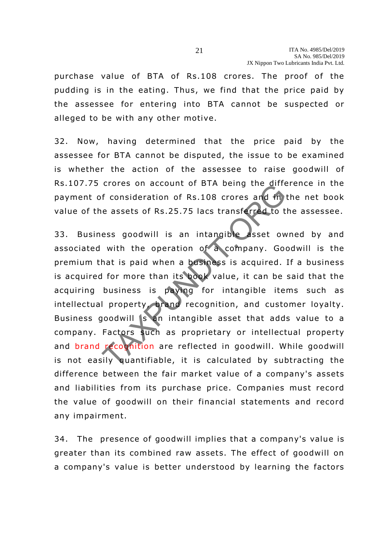purchase value of BTA of Rs.108 crores. The proof of the pudding is in the eating. Thus, we find that the price paid by the assessee for entering into BTA cannot be suspected or alleged to be with any other motive.

32. Now, having determined that the price paid by the assessee for BTA cannot be disputed, the issue to be examined is whether the action of the assessee to raise goodwill of Rs.107.75 crores on account of BTA being the difference in the payment of consideration of Rs.108 crores and in the net book value of the assets of Rs.25.75 lacs transferred to the assessee.

33. Business goodwill is an intangible asset owned by and associated with the operation of a company. Goodwill is the premium that is paid when a business is acquired. If a business is acquired for more than its book value, it can be said that the acquiring business is paying for intangible items such as intellectual property, brand recognition, and customer loyalty. Business goodwill is an intangible asset that adds value to a company. Factors such as proprietary or intellectual property and brand recognition are reflected in goodwill. While goodwill is not easily quantifiable, it is calculated by subtracting the difference between the fair market value of a company's assets and liabilities from its purchase price. Companies must record the value of goodwill on their financial statements and record any impairment. In the solution of Rs.108 crores and in<br>
e assets of Rs.25.75 lacs transferred to t<br>
ess goodwill is an intangible asset ow<br>
with the operation of a company. Goothat is paid when a business is acquired.<br>
I for more than it

34. The presence of goodwill implies that a company's value is greater than its combined raw assets. The effect of goodwill on a company's value is better understood by learning the factors

21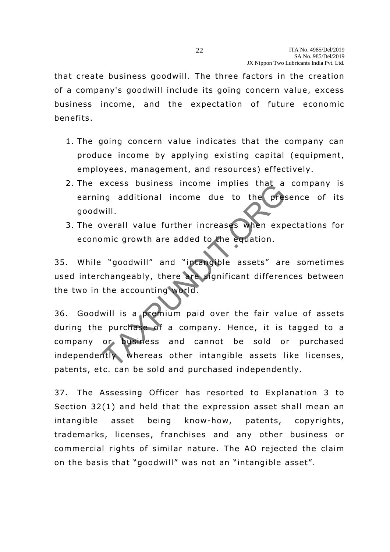that create business goodwill. The three factors in the creation of a company's goodwill include its going concern value, excess business income, and the expectation of future economic benefits.

- 1. The going concern value indicates that the company can produce income by applying existing capital (equipment, employees, management, and resources) effectively.
- 2. The excess business income implies that a company is earning additional income due to the presence of its goodwill .
- 3. The overall value further increases when expectations for economic growth are added to the equation.

35. While "goodwill" and "intangible assets" are sometimes used interchangeably, there are significant differences between the two in the accounting world.

36. Goodwill is a premium paid over the fair value of assets during the purchase of a company. Hence, it is tagged to a company or business and cannot be sold or purchased independently whereas other intangible assets like licenses, patents, etc. can be sold and purchased independently. Excess business income impies that a<br>time and additional income due to the press<br>will.<br>werall value further increases when exp<br>mic growth are added to the equation.<br>"goodwill" and "intangible assets" are<br>changeably, there

37. The Assessing Officer has resorted to Explanation 3 to Section 32(1) and held that the expression asset shall mean an intangible asset being know-how, patents, copyrights, trademarks, licenses, franchises and any other business or commercial rights of similar nature. The AO rejected the claim on the basis that "goodwill" was not an "intangible asset".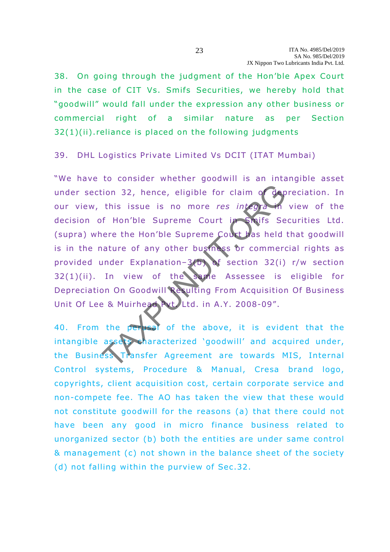38. On going through the judgment of the Hon'ble Apex Court in the case of CIT Vs. Smifs Securities, we hereby hold that "goodwill" would fall under the expression any other business or commercial right of a similar nature as per Section 32(1)(ii) .reliance is placed on the following judgments

#### 39. DHL Logistics Private Limited Vs DCIT (ITAT Mumbai)

"We have to consider whether goodwill is an intangible asset under section 32, hence, eligible for claim of depreciation. In our view, this issue is no more *res integra* in view of the decision of Hon'ble Supreme Court in Smifs Securities Ltd. (supra) where the Hon'ble Supreme Court has held that goodwill is in the nature of any other business or commercial rights as provided under Explanation–3(b) of section 32(i) r/w section 32(1)(ii) . In view of the same Assessee is eligible for Depreciation On Goodwill Resulting From Acquisition Of Business Unit Of Lee & Muirhead Pyt. Ltd. in A.Y. 2008-09". THE TAXPUTE THE CONTROLL CONSIDER THE CONTROLL CONSIDERATION OF THE CONSIDERATION OF SAME RESERVED TO CONSIDER A MULTIPLE OF THE CONSIDERATION OF SECTION 22(1)<br>
In view of the same Assessee is<br>
DISPONSIBLE THE CONSIDER ASS

40. From the perusal of the above, it is evident that the intangible assets characterized 'goodwill' and acquired under, the Business Transfer Agreement are towards MIS, Internal Control systems, Procedure & Manual, Cresa brand logo, copyrights, client acquisition cost, certain corporate service and non-compete fee. The AO has taken the view that these would not constitute goodwill for the reasons (a) that there could not have been any good in micro finance business related to unorganized sector (b) both the entities are under same control & management (c) not shown in the balance sheet of the society (d) not falling within the purview of Sec.32.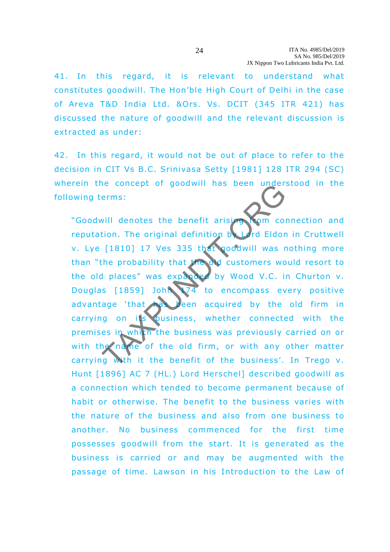41. In this regard, it is relevant to understand what constitutes goodwill. The Hon'ble High Court of Delhi in the case of Areva T&D India Ltd. &Ors. Vs. DCIT (345 ITR 421) has discussed the nature of goodwill and the relevant discussion is extracted as under:

42. In this regard, it would not be out of place to refer to the decision in CIT Vs B.C. Srinivasa Setty [1981] 128 ITR 294 (SC) wherein the concept of goodwill has been understood in the following terms:

"Goodwill denotes the benefit arising from connection and reputation. The original definition by Lord Eldon in Cruttwell v. Lye [1810] 17 Ves 335 that goodwill was nothing more than "the probability that the old customers would resort to the old places" was expanded by Wood V.C. in Churton v. Douglas [1859] John 174 to encompass every positive advantage 'that has been acquired by the old firm in carrying on its pusiness, whether connected with the premises in whith the business was previously carried on or with the name of the old firm, or with any other matter carrying with it the benefit of the business'. In Trego v. Hunt [1896] AC 7 (HL.) Lord Herschel] described goodwill as a connection which tended to become permanent because of habit or otherwise. The benefit to the business varies with the nature of the business and also from one business to ano ther. No business commenced for the first time possesses goodwill from the start. It is generated as the business is carried or and may be augmented with the passage of time. Lawson in his Introduction to the Law of The contept of goodwin has been understanded<br>
The content of goodwin has been understanded<br>
The criginal definition by Ird Eldon<br>
[1810] 17 Ves 335 thet goodwill was r<br>
the probability that the content of customers wo<br>
I p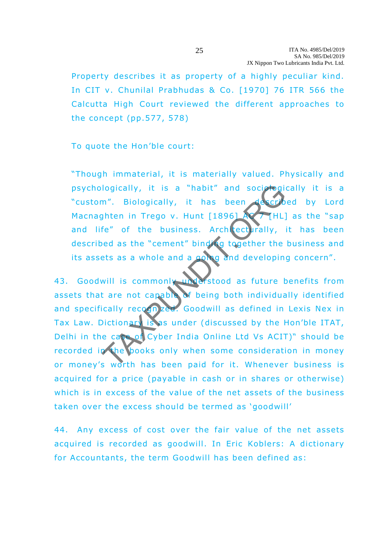Property describes it as property of a highly peculiar kind. In CIT v. Chunilal Prabhudas & Co. [1970] 76 ITR 566 the Calcutta High Court reviewed the different approaches to the concept (pp.577, 578)

To quote the Hon'ble court:

"Though immaterial, it is materially valued. Physically and psychologically, it is a "habit" and sociologically it is a "custom". Biologically, it has been described by Lord Macnaghten in Trego v. Hunt  $[1896]$  AC 7 [HL] as the "sap and life" of the business. Architecturally, it has been described as the "cement" binding together the business and its assets as a whole and a going and developing concern".

43. Goodwill is commonly understood as future benefits from assets that are not capable of being both individually identified and specifically recogn zed. Goodwill as defined in Lexis Nex in Tax Law. Dictionary is as under (discussed by the Hon'ble ITAT, Delhi in the case of Cyber India Online Ltd Vs ACIT)" should be recorded in the books only when some consideration in money or money's worth has been paid for it. Whenever business is acquired for a price (payable in cash or in shares or otherwise) which is in excess of the value of the net assets of the business taken over the excess should be termed as 'goodwill' Iogically, it is a "habit" and sociologically<br>
Then in Trego v. Hunt [1896]<br>
Inten in Trego v. Hunt [1896]<br>
Inten in Trego v. Hunt [1896]<br>
Intended as the "cement" binding together the<br>
ets as a whole and a good and develo

44. Any excess of cost over the fair value of the net assets acquired is recorded as goodwill. In Eric Koblers: A dictionary for Accountants, the term Goodwill has been defined as:

25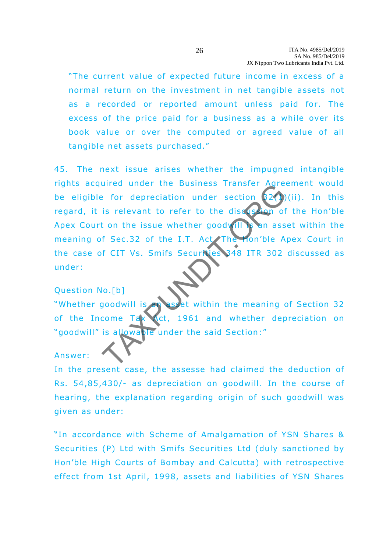"The current value of expected future income in excess of a normal return on the investment in net tangible assets not as a recorded or reported amount unless paid for. The excess of the price paid for a business as a while over its book value or over the computed or agreed value of all tangible net assets purchased ."

45. The next issue arises whether the impugned intangible rights acquired under the Business Transfer Agreement would be eligible for depreciation under section  $32(1)(ii)$ . In this regard, it is relevant to refer to the discussion of the Hon'ble Apex Court on the issue whether goodwill is an asset within the meaning of Sec.32 of the I.T. Act The Hon'ble Apex Court in the case of CIT Vs. Smifs Securives 348 ITR 302 discussed as under: Example the Business Transfer Agreement of the Home of the discussion of the discussion of the discussion of the single whether good film as a securities of the LT. Act The Hon'ble A f CIT Vs. Smifs Securities 348 ITR 302<br>

# Question No .[b] "Whether goodwill is an asset within the meaning of Section 32 of the Income Tax Act, 1961 and whether depreciation on "goodwill" is allowable under the said Section:"

#### Answer:

In the present case, the assesse had claimed the deduction of Rs. 54,85,430/- as depreciation on goodwill. In the course of hearing, the explanation regarding origin of such goodwill was given as under:

"In accordance with Scheme of Amalgamation of YSN Shares & Securities (P) Ltd with Smifs Securities Ltd (duly sanctioned by Hon'ble High Courts of Bombay and Calcutta) with retrospective effect from 1st April, 1998, assets and liabilities of YSN Shares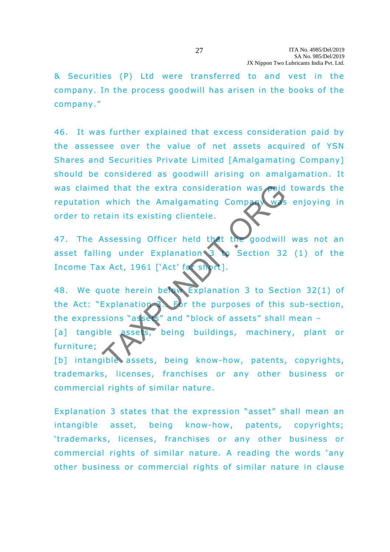& Securities (P) Ltd were trans ferred to and vest in the company. In the process goodwill has arisen in the books of the company."

46. It was further explained that excess consideration paid by the assessee over the value of net assets acquired of YSN Shares and Securities Private Limited [Amalgamating Company] should be considered as goodwill arising on amalgamation. It was claimed that the extra consideration was paid towards the reputation which the Amalgamating Company was enjoying in order to retain its existing clientele.

47. The Assessing Officer held that the goodwill was not an asset falling under Explanation  $\frac{3}{8}$  section 32 (1) of the Income Tax Act, 1961 ['Act' for short

48. We quote herein below Explanation 3 to Section 32(1) of the Act: "Explanation 3. For the purposes of this sub-section, the expressions "assets" and "block of assets" shall mean -[a] tangible assets, being buildings, machinery, plant or furniture; and that the extra consideration was paid<br>which the Amalgamating Company<br>tain its existing clientele.<br>Subsessing Officer held that the goodwill<br>mg under Explanation 3 to Section 32<br>x Act, 1961 ['Act' for short].<br>Suote here

[b] intangible assets, being know-how, patents, copyrights, trademarks, licenses, franchises or any other business or commercial rights of similar nature.

Explanation 3 states that the expression "asset" shall mean an intangible asset, being know-how, patents, copyrights; 'trademarks, licenses, franchises or any other business or commercial rights of similar nature. A reading the words 'any other business or commercial rights of similar nature in clause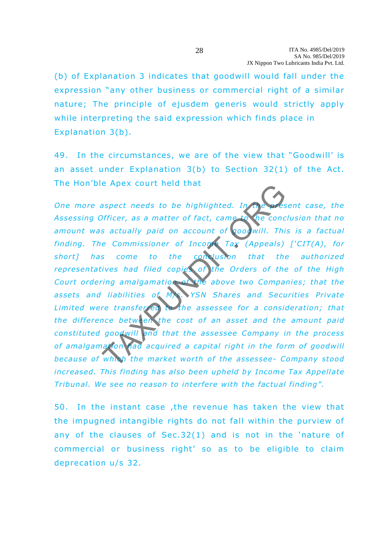(b) of Explanation 3 indicates that goodwill would fall under the expression "any other business or commercial right of a similar nature; The principle of ejusdem generis would strictly apply while interpreting the said expression which finds place in Explanation 3(b).

49. In the circumstances, we are of the view that "Goodwill' is an asset under Explanation 3(b) to Section 32(1) of the Act. The Hon'ble Apex court held that

*One more aspect needs to be highlighted. In the present case, the* Assessing Officer, as a matter of fact, came to the conclusion that no amount was actually paid on account of goodwill. This is a factual *finding. The Commissioner of Income Tax (Appeals) ['CIT(A), for* short] has come to the conclusion that the authorized *representatives had filed copies of the Orders of the of the High* Court ordering amalgamation of the above two Companies; that the assets and liabilities of MX. YSN Shares and Securities Private Limited were transferred to the assessee for a consideration; that *the difference between the cost of an asset and the amount paid constituted goodwill and that the assessee Company in the process* of amalgamation had acquired a capital right in the form of goodwill because of which the market worth of the assessee- Company stood *increased. This finding has also been upheld by Income Tax Appellate Tribunal. We see no reason to interfere with the factual finding".*  Example and the highlighted. In the contract of ficiency as a matter of fact, came to the concess actually paid on account of goodwill. This example commissioner of Incorrect Tax (Appeals) so come to the contract Tax (Appe

50. In the instant case ,the revenue has taken the view that the impugned intangible rights do not fall within the purview of any of the clauses of  $Sec.32(1)$  and is not in the 'nature of commercial or business right' so as to be eligible to claim deprecation u/s 32.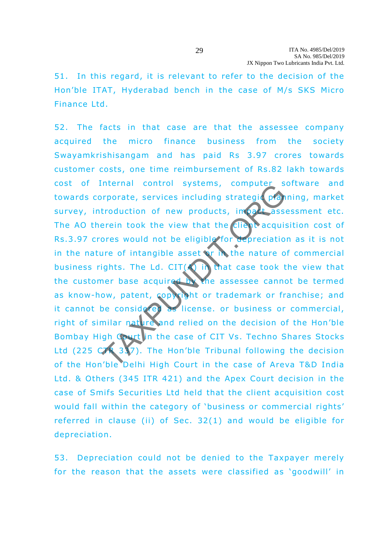51. In this regard, it is relevant to refer to the decision of the Hon'ble ITAT, Hyderabad bench in the case of M/s SKS Micro Finance Ltd.

52. The facts in that case are that the assessee company acquired the micro finance business from the society Swayamkrishisangam and has paid Rs 3 .97 crores towards customer costs, one time reimbursement of Rs.82 lakh towards cost of Internal control systems, computer software and towards corporate, services including strategic planning, market survey, introduction of new products, impact assessment etc. The AO therein took the view that the client acquisition cost of Rs.3.97 crores would not be eligible for depreciation as it is not in the nature of intangible asset or in the nature of commercial business rights. The Ld. CIT( $\bigwedge$  in that case took the view that the customer base acquired by the assessee cannot be termed as know-how, patent, copyright or trademark or franchise; and it cannot be considered as license, or business or commercial, right of similar nature and relied on the decision of the Hon'ble Bombay High Court in the case of CIT Vs. Techno Shares Stocks Ltd (225  $C$   $\sqrt{3}$  3  $\sqrt{2}$ ). The Hon'ble Tribunal following the decision of the Hon'ble Delhi High Court in the case of Areva T&D India Ltd. & Others (345 ITR 421) and the Apex Court decision in the case of Smifs Securities Ltd held that the client acquisition cost would fall within the category of 'business or commercial rights' referred in clause (ii) of Sec. 32(1) and would be eligible for depreciation. The provident systems, computed systems, computed systems, reported troduction of new products, in all assets<br>are in took the view that the client decay is also<br>are of intangible asset of in the nature of intangible assets

53. Depreciation could not be denied to the Taxpayer merely for the reason that the assets were classified as 'goodwill' in